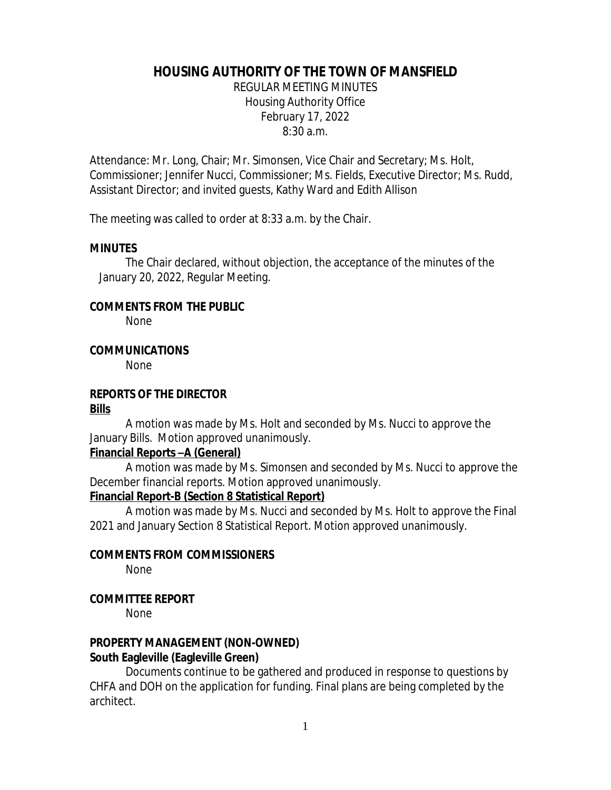# **HOUSING AUTHORITY OF THE TOWN OF MANSFIELD**

REGULAR MEETING MINUTES Housing Authority Office February 17, 2022 8:30 a.m.

Attendance: Mr. Long, Chair; Mr. Simonsen, Vice Chair and Secretary; Ms. Holt, Commissioner; Jennifer Nucci, Commissioner; Ms. Fields, Executive Director; Ms. Rudd, Assistant Director; and invited guests, Kathy Ward and Edith Allison

The meeting was called to order at 8:33 a.m. by the Chair.

## **MINUTES**

The Chair declared, without objection, the acceptance of the minutes of the January 20, 2022, Regular Meeting.

## **COMMENTS FROM THE PUBLIC**

None

## **COMMUNICATIONS**

None

## **REPORTS OF THE DIRECTOR**

#### **Bills**

A motion was made by Ms. Holt and seconded by Ms. Nucci to approve the January Bills. Motion approved unanimously.

#### **Financial Reports –A (General)**

A motion was made by Ms. Simonsen and seconded by Ms. Nucci to approve the December financial reports. Motion approved unanimously.

#### **Financial Report-B (Section 8 Statistical Report)**

A motion was made by Ms. Nucci and seconded by Ms. Holt to approve the Final 2021 and January Section 8 Statistical Report. Motion approved unanimously.

#### **COMMENTS FROM COMMISSIONERS**

None

## **COMMITTEE REPORT**

None

## **PROPERTY MANAGEMENT (NON-OWNED) South Eagleville (Eagleville Green)**

Documents continue to be gathered and produced in response to questions by CHFA and DOH on the application for funding. Final plans are being completed by the architect.